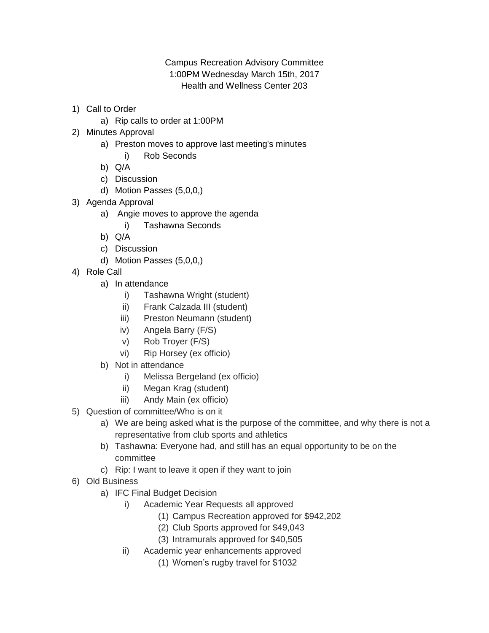Campus Recreation Advisory Committee 1:00PM Wednesday March 15th, 2017 Health and Wellness Center 203

- 1) Call to Order
	- a) Rip calls to order at 1:00PM
- 2) Minutes Approval
	- a) Preston moves to approve last meeting's minutes
		- i) Rob Seconds
	- b) Q/A
	- c) Discussion
	- d) Motion Passes (5,0,0,)
- 3) Agenda Approval
	- a) Angie moves to approve the agenda
		- i) Tashawna Seconds
	- b) Q/A
	- c) Discussion
	- d) Motion Passes (5,0,0,)
- 4) Role Call
	- a) In attendance
		- i) Tashawna Wright (student)
		- ii) Frank Calzada III (student)
		- iii) Preston Neumann (student)
		- iv) Angela Barry (F/S)
		- v) Rob Troyer (F/S)
		- vi) Rip Horsey (ex officio)
	- b) Not in attendance
		- i) Melissa Bergeland (ex officio)
		- ii) Megan Krag (student)
		- iii) Andy Main (ex officio)
- 5) Question of committee/Who is on it
	- a) We are being asked what is the purpose of the committee, and why there is not a representative from club sports and athletics
	- b) Tashawna: Everyone had, and still has an equal opportunity to be on the committee
	- c) Rip: I want to leave it open if they want to join
- 6) Old Business
	- a) IFC Final Budget Decision
		- i) Academic Year Requests all approved
			- (1) Campus Recreation approved for \$942,202
			- (2) Club Sports approved for \$49,043
			- (3) Intramurals approved for \$40,505
		- ii) Academic year enhancements approved
			- (1) Women's rugby travel for \$1032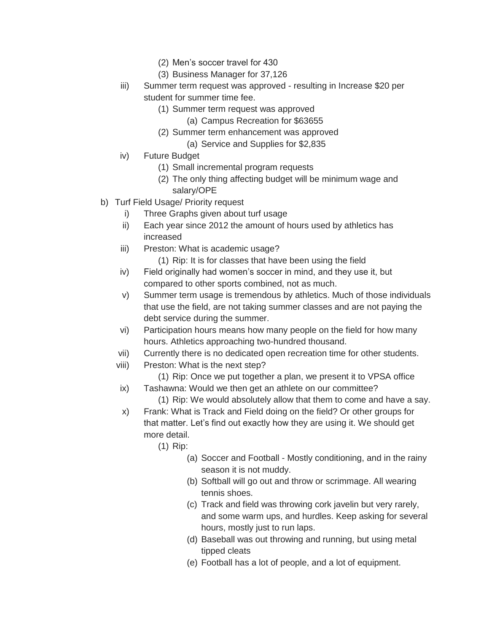- (2) Men's soccer travel for 430
- (3) Business Manager for 37,126
- iii) Summer term request was approved resulting in Increase \$20 per student for summer time fee.
	- (1) Summer term request was approved
		- (a) Campus Recreation for \$63655
	- (2) Summer term enhancement was approved
		- (a) Service and Supplies for \$2,835
- iv) Future Budget
	- (1) Small incremental program requests
	- (2) The only thing affecting budget will be minimum wage and salary/OPE
- b) Turf Field Usage/ Priority request
	- i) Three Graphs given about turf usage
	- ii) Each year since 2012 the amount of hours used by athletics has increased
	- iii) Preston: What is academic usage?
		- (1) Rip: It is for classes that have been using the field
	- iv) Field originally had women's soccer in mind, and they use it, but compared to other sports combined, not as much.
	- v) Summer term usage is tremendous by athletics. Much of those individuals that use the field, are not taking summer classes and are not paying the debt service during the summer.
	- vi) Participation hours means how many people on the field for how many hours. Athletics approaching two-hundred thousand.
	- vii) Currently there is no dedicated open recreation time for other students.
	- viii) Preston: What is the next step?
		- (1) Rip: Once we put together a plan, we present it to VPSA office
	- ix) Tashawna: Would we then get an athlete on our committee?
		- (1) Rip: We would absolutely allow that them to come and have a say.
	- x) Frank: What is Track and Field doing on the field? Or other groups for that matter. Let's find out exactly how they are using it. We should get more detail.
		- (1) Rip:
			- (a) Soccer and Football Mostly conditioning, and in the rainy season it is not muddy.
			- (b) Softball will go out and throw or scrimmage. All wearing tennis shoes.
			- (c) Track and field was throwing cork javelin but very rarely, and some warm ups, and hurdles. Keep asking for several hours, mostly just to run laps.
			- (d) Baseball was out throwing and running, but using metal tipped cleats
			- (e) Football has a lot of people, and a lot of equipment.